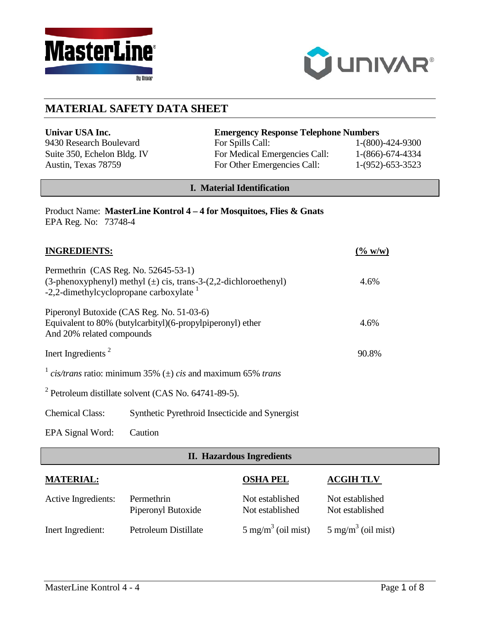



# **MATERIAL SAFETY DATA SHEET**

| Univar USA Inc.             | <b>Emergency Response Telephone Numbers</b> |                    |
|-----------------------------|---------------------------------------------|--------------------|
| 9430 Research Boulevard     | For Spills Call:                            | $1-(800)-424-9300$ |
| Suite 350, Echelon Bldg. IV | For Medical Emergencies Call:               | $1-(866)-674-4334$ |
| Austin, Texas 78759         | For Other Emergencies Call:                 | $1-(952)-653-3523$ |

### **I. Material Identification**

|                      | Product Name: MasterLine Kontrol 4 – 4 for Mosquitoes, Flies & Gnats |
|----------------------|----------------------------------------------------------------------|
| EPA Reg. No: 73748-4 |                                                                      |

| <b>INGREDIENTS:</b>                                                                                                                                      |                                                | (% w/w)   |
|----------------------------------------------------------------------------------------------------------------------------------------------------------|------------------------------------------------|-----------|
| Permethrin (CAS Reg. No. 52645-53-1)<br>(3-phenoxyphenyl) methyl $(\pm)$ cis, trans-3-(2,2-dichloroethenyl)<br>-2,2-dimethylcyclopropane carboxylate $1$ | 4.6%                                           |           |
| Piperonyl Butoxide (CAS Reg. No. 51-03-6)<br>Equivalent to 80% (butylcarbityl) (6-propylpiperonyl) ether<br>And 20% related compounds                    |                                                | 4.6%      |
| Inert Ingredients <sup>2</sup>                                                                                                                           |                                                | 90.8%     |
| $\frac{1}{1}$ cis/trans ratio: minimum 35% ( $\pm$ ) cis and maximum 65% trans                                                                           |                                                |           |
| $2$ Petroleum distillate solvent (CAS No. 64741-89-5).                                                                                                   |                                                |           |
| <b>Chemical Class:</b>                                                                                                                                   | Synthetic Pyrethroid Insecticide and Synergist |           |
| EPA Signal Word:                                                                                                                                         | Caution                                        |           |
| <b>II. Hazardous Ingredients</b>                                                                                                                         |                                                |           |
| <b>MATERIAL:</b>                                                                                                                                         | OSHA PEL                                       | ACGIH TLV |

Active Ingredients: Permethrin Not established Not established<br>Piperonyl Butoxide Not established Not established

Inert Ingredient: Petroleum Distillate  $5 \text{ mg/m}^3$  (oil mist)  $5 \text{ mg/m}^3$  (oil mist)

Piperonyl Butoxide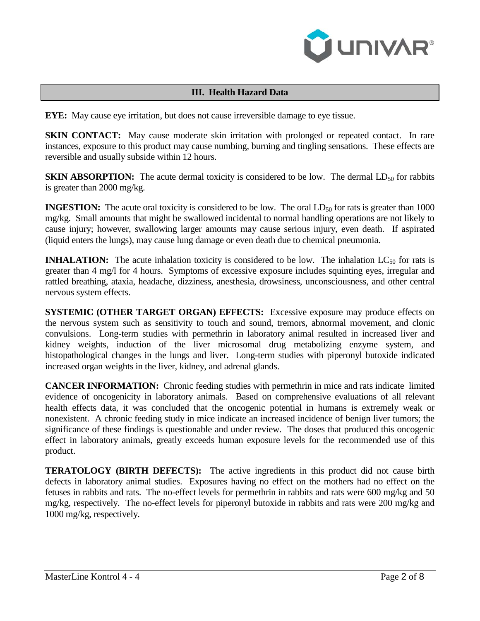

## **III. Health Hazard Data**

**EYE:** May cause eye irritation, but does not cause irreversible damage to eye tissue.

**SKIN CONTACT:** May cause moderate skin irritation with prolonged or repeated contact. In rare instances, exposure to this product may cause numbing, burning and tingling sensations. These effects are reversible and usually subside within 12 hours.

**SKIN ABSORPTION:** The acute dermal toxicity is considered to be low. The dermal  $LD_{50}$  for rabbits is greater than 2000 mg/kg.

**INGESTION:** The acute oral toxicity is considered to be low. The oral  $LD_{50}$  for rats is greater than 1000 mg/kg. Small amounts that might be swallowed incidental to normal handling operations are not likely to cause injury; however, swallowing larger amounts may cause serious injury, even death. If aspirated (liquid enters the lungs), may cause lung damage or even death due to chemical pneumonia.

**INHALATION:** The acute inhalation toxicity is considered to be low. The inhalation  $LC_{50}$  for rats is greater than 4 mg/l for 4 hours. Symptoms of excessive exposure includes squinting eyes, irregular and rattled breathing, ataxia, headache, dizziness, anesthesia, drowsiness, unconsciousness, and other central nervous system effects.

**SYSTEMIC (OTHER TARGET ORGAN) EFFECTS:** Excessive exposure may produce effects on the nervous system such as sensitivity to touch and sound, tremors, abnormal movement, and clonic convulsions. Long-term studies with permethrin in laboratory animal resulted in increased liver and kidney weights, induction of the liver microsomal drug metabolizing enzyme system, and histopathological changes in the lungs and liver. Long-term studies with piperonyl butoxide indicated increased organ weights in the liver, kidney, and adrenal glands.

**CANCER INFORMATION:** Chronic feeding studies with permethrin in mice and rats indicate limited evidence of oncogenicity in laboratory animals. Based on comprehensive evaluations of all relevant health effects data, it was concluded that the oncogenic potential in humans is extremely weak or nonexistent. A chronic feeding study in mice indicate an increased incidence of benign liver tumors; the significance of these findings is questionable and under review. The doses that produced this oncogenic effect in laboratory animals, greatly exceeds human exposure levels for the recommended use of this product.

**TERATOLOGY (BIRTH DEFECTS):** The active ingredients in this product did not cause birth defects in laboratory animal studies. Exposures having no effect on the mothers had no effect on the fetuses in rabbits and rats. The no-effect levels for permethrin in rabbits and rats were 600 mg/kg and 50 mg/kg, respectively. The no-effect levels for piperonyl butoxide in rabbits and rats were 200 mg/kg and 1000 mg/kg, respectively.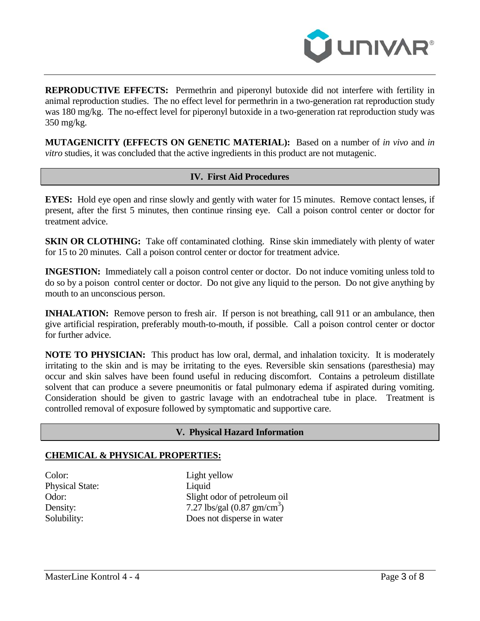

**REPRODUCTIVE EFFECTS:** Permethrin and piperonyl butoxide did not interfere with fertility in animal reproduction studies. The no effect level for permethrin in a two-generation rat reproduction study was 180 mg/kg. The no-effect level for piperonyl butoxide in a two-generation rat reproduction study was 350 mg/kg.

**MUTAGENICITY (EFFECTS ON GENETIC MATERIAL):** Based on a number of *in vivo* and *in vitro* studies, it was concluded that the active ingredients in this product are not mutagenic.

#### **IV. First Aid Procedures**

**EYES:** Hold eye open and rinse slowly and gently with water for 15 minutes. Remove contact lenses, if present, after the first 5 minutes, then continue rinsing eye. Call a poison control center or doctor for treatment advice.

**SKIN OR CLOTHING:** Take off contaminated clothing. Rinse skin immediately with plenty of water for 15 to 20 minutes. Call a poison control center or doctor for treatment advice.

**INGESTION:** Immediately call a poison control center or doctor. Do not induce vomiting unless told to do so by a poison control center or doctor. Do not give any liquid to the person. Do not give anything by mouth to an unconscious person.

**INHALATION:** Remove person to fresh air. If person is not breathing, call 911 or an ambulance, then give artificial respiration, preferably mouth-to-mouth, if possible. Call a poison control center or doctor for further advice.

**NOTE TO PHYSICIAN:** This product has low oral, dermal, and inhalation toxicity. It is moderately irritating to the skin and is may be irritating to the eyes. Reversible skin sensations (paresthesia) may occur and skin salves have been found useful in reducing discomfort. Contains a petroleum distillate solvent that can produce a severe pneumonitis or fatal pulmonary edema if aspirated during vomiting. Consideration should be given to gastric lavage with an endotracheal tube in place. Treatment is controlled removal of exposure followed by symptomatic and supportive care.

#### **V. Physical Hazard Information**

#### **CHEMICAL & PHYSICAL PROPERTIES:**

Color: Light yellow Physical State: Liquid

Odor: Slight odor of petroleum oil Density:  $7.27 \text{ lbs/gal} (0.87 \text{ gm/cm}^3)$ Solubility: Does not disperse in water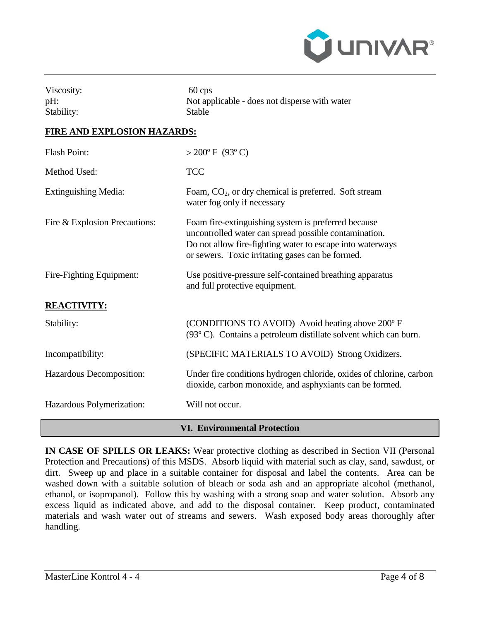

| Viscosity: | $60 \cos$                                     |
|------------|-----------------------------------------------|
| $pH$ :     | Not applicable - does not disperse with water |
| Stability: | <b>Stable</b>                                 |

#### **FIRE AND EXPLOSION HAZARDS:**

| <b>Flash Point:</b>                 | $>200^{\circ}$ F (93°C)                                                                                                                                                                                                       |  |
|-------------------------------------|-------------------------------------------------------------------------------------------------------------------------------------------------------------------------------------------------------------------------------|--|
| Method Used:                        | <b>TCC</b>                                                                                                                                                                                                                    |  |
| <b>Extinguishing Media:</b>         | Foam, $CO2$ , or dry chemical is preferred. Soft stream<br>water fog only if necessary                                                                                                                                        |  |
| Fire & Explosion Precautions:       | Foam fire-extinguishing system is preferred because<br>uncontrolled water can spread possible contamination.<br>Do not allow fire-fighting water to escape into waterways<br>or sewers. Toxic irritating gases can be formed. |  |
| Fire-Fighting Equipment:            | Use positive-pressure self-contained breathing apparatus<br>and full protective equipment.                                                                                                                                    |  |
| <b>REACTIVITY:</b>                  |                                                                                                                                                                                                                               |  |
| Stability:                          | (CONDITIONS TO AVOID) Avoid heating above 200° F<br>$(93^{\circ}$ C). Contains a petroleum distillate solvent which can burn.                                                                                                 |  |
| Incompatibility:                    | (SPECIFIC MATERIALS TO AVOID) Strong Oxidizers.                                                                                                                                                                               |  |
| Hazardous Decomposition:            | Under fire conditions hydrogen chloride, oxides of chlorine, carbon<br>dioxide, carbon monoxide, and asphyxiants can be formed.                                                                                               |  |
| Hazardous Polymerization:           | Will not occur.                                                                                                                                                                                                               |  |
| <b>VI. Environmental Protection</b> |                                                                                                                                                                                                                               |  |

**IN CASE OF SPILLS OR LEAKS:** Wear protective clothing as described in Section VII (Personal Protection and Precautions) of this MSDS. Absorb liquid with material such as clay, sand, sawdust, or dirt. Sweep up and place in a suitable container for disposal and label the contents. Area can be washed down with a suitable solution of bleach or soda ash and an appropriate alcohol (methanol, ethanol, or isopropanol). Follow this by washing with a strong soap and water solution. Absorb any excess liquid as indicated above, and add to the disposal container. Keep product, contaminated materials and wash water out of streams and sewers. Wash exposed body areas thoroughly after handling.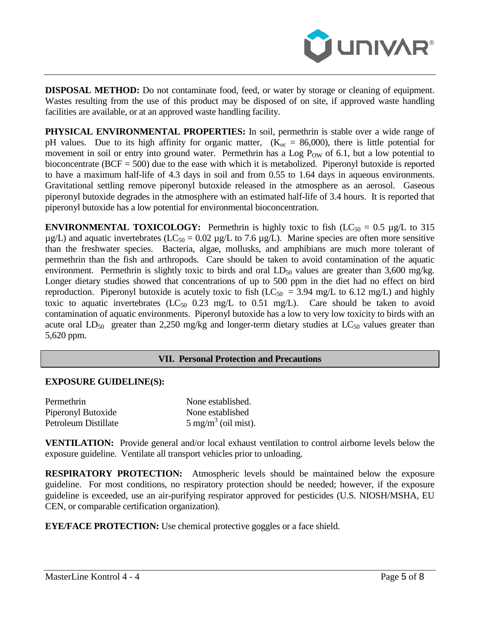

**DISPOSAL METHOD:** Do not contaminate food, feed, or water by storage or cleaning of equipment. Wastes resulting from the use of this product may be disposed of on site, if approved waste handling facilities are available, or at an approved waste handling facility.

**PHYSICAL ENVIRONMENTAL PROPERTIES:** In soil, permethrin is stable over a wide range of pH values. Due to its high affinity for organic matter,  $(K_{\text{oc}} = 86,000)$ , there is little potential for movement in soil or entry into ground water. Permethrin has a Log  $P_{OW}$  of 6.1, but a low potential to bioconcentrate (BCF = 500) due to the ease with which it is metabolized. Piperonyl butoxide is reported to have a maximum half-life of 4.3 days in soil and from 0.55 to 1.64 days in aqueous environments. Gravitational settling remove piperonyl butoxide released in the atmosphere as an aerosol. Gaseous piperonyl butoxide degrades in the atmosphere with an estimated half-life of 3.4 hours. It is reported that piperonyl butoxide has a low potential for environmental bioconcentration.

**ENVIRONMENTAL TOXICOLOGY:** Permethrin is highly toxic to fish  $(LC_{50} = 0.5 \mu g/L)$  to 315  $\mu$ g/L) and aquatic invertebrates (LC<sub>50</sub> = 0.02  $\mu$ g/L to 7.6  $\mu$ g/L). Marine species are often more sensitive than the freshwater species. Bacteria, algae, mollusks, and amphibians are much more tolerant of permethrin than the fish and arthropods. Care should be taken to avoid contamination of the aquatic environment. Permethrin is slightly toxic to birds and oral  $LD_{50}$  values are greater than 3,600 mg/kg. Longer dietary studies showed that concentrations of up to 500 ppm in the diet had no effect on bird reproduction. Piperonyl butoxide is acutely toxic to fish ( $LC_{50}$  = 3.94 mg/L to 6.12 mg/L) and highly toxic to aquatic invertebrates  $(LC_{50}$  0.23 mg/L to 0.51 mg/L). Care should be taken to avoid contamination of aquatic environments. Piperonyl butoxide has a low to very low toxicity to birds with an acute oral  $LD_{50}$  greater than 2,250 mg/kg and longer-term dietary studies at  $LC_{50}$  values greater than 5,620 ppm.

#### **VII. Personal Protection and Precautions**

#### **EXPOSURE GUIDELINE(S):**

| Permethrin           | None established.              |
|----------------------|--------------------------------|
| Piperonyl Butoxide   | None established               |
| Petroleum Distillate | $5 \text{ mg/m}^3$ (oil mist). |

**VENTILATION:** Provide general and/or local exhaust ventilation to control airborne levels below the exposure guideline. Ventilate all transport vehicles prior to unloading.

**RESPIRATORY PROTECTION:** Atmospheric levels should be maintained below the exposure guideline. For most conditions, no respiratory protection should be needed; however, if the exposure guideline is exceeded, use an air-purifying respirator approved for pesticides (U.S. NIOSH/MSHA, EU CEN, or comparable certification organization).

**EYE/FACE PROTECTION:** Use chemical protective goggles or a face shield.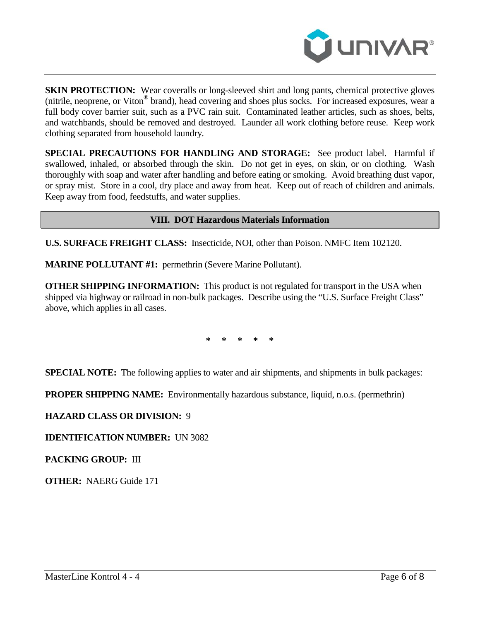

**SKIN PROTECTION:** Wear coveralls or long-sleeved shirt and long pants, chemical protective gloves (nitrile, neoprene, or Viton® brand), head covering and shoes plus socks. For increased exposures, wear a full body cover barrier suit, such as a PVC rain suit. Contaminated leather articles, such as shoes, belts, and watchbands, should be removed and destroyed. Launder all work clothing before reuse. Keep work clothing separated from household laundry.

**SPECIAL PRECAUTIONS FOR HANDLING AND STORAGE:** See product label. Harmful if swallowed, inhaled, or absorbed through the skin. Do not get in eyes, on skin, or on clothing. Wash thoroughly with soap and water after handling and before eating or smoking. Avoid breathing dust vapor, or spray mist. Store in a cool, dry place and away from heat. Keep out of reach of children and animals. Keep away from food, feedstuffs, and water supplies.

### **VIII. DOT Hazardous Materials Information**

**U.S. SURFACE FREIGHT CLASS:** Insecticide, NOI, other than Poison. NMFC Item 102120.

**MARINE POLLUTANT #1:** permethrin (Severe Marine Pollutant).

**OTHER SHIPPING INFORMATION:** This product is not regulated for transport in the USA when shipped via highway or railroad in non-bulk packages. Describe using the "U.S. Surface Freight Class" above, which applies in all cases.

**\* \* \* \* \***

**SPECIAL NOTE:** The following applies to water and air shipments, and shipments in bulk packages:

**PROPER SHIPPING NAME:** Environmentally hazardous substance, liquid, n.o.s. (permethrin)

#### **HAZARD CLASS OR DIVISION:** 9

**IDENTIFICATION NUMBER:** UN 3082

**PACKING GROUP:** III

**OTHER:** NAERG Guide 171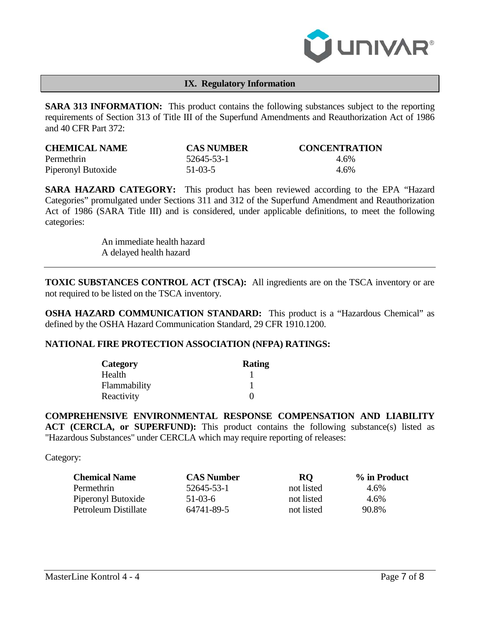

#### **IX. Regulatory Information**

**SARA 313 INFORMATION:** This product contains the following substances subject to the reporting requirements of Section 313 of Title III of the Superfund Amendments and Reauthorization Act of 1986 and 40 CFR Part 372:

| <b>CHEMICAL NAME</b> | <b>CAS NUMBER</b> | <b>CONCENTRATION</b> |
|----------------------|-------------------|----------------------|
| Permethrin           | 52645-53-1        | 4.6%                 |
| Piperonyl Butoxide   | $51-03-5$         | $4.6\%$              |

**SARA HAZARD CATEGORY:** This product has been reviewed according to the EPA "Hazard Categories" promulgated under Sections 311 and 312 of the Superfund Amendment and Reauthorization Act of 1986 (SARA Title III) and is considered, under applicable definitions, to meet the following categories:

> An immediate health hazard A delayed health hazard

**TOXIC SUBSTANCES CONTROL ACT (TSCA):** All ingredients are on the TSCA inventory or are not required to be listed on the TSCA inventory.

**OSHA HAZARD COMMUNICATION STANDARD:** This product is a "Hazardous Chemical" as defined by the OSHA Hazard Communication Standard, 29 CFR 1910.1200.

#### **NATIONAL FIRE PROTECTION ASSOCIATION (NFPA) RATINGS:**

| <b>Category</b> | <b>Rating</b> |
|-----------------|---------------|
| Health          |               |
| Flammability    |               |
| Reactivity      |               |

**COMPREHENSIVE ENVIRONMENTAL RESPONSE COMPENSATION AND LIABILITY**  ACT (CERCLA, or SUPERFUND): This product contains the following substance(s) listed as "Hazardous Substances" under CERCLA which may require reporting of releases:

Category:

| <b>Chemical Name</b> | <b>CAS Number</b> | RO.        | % in Product |
|----------------------|-------------------|------------|--------------|
| Permethrin           | 52645-53-1        | not listed | 4.6%         |
| Piperonyl Butoxide   | $51-03-6$         | not listed | $4.6\%$      |
| Petroleum Distillate | 64741-89-5        | not listed | 90.8%        |